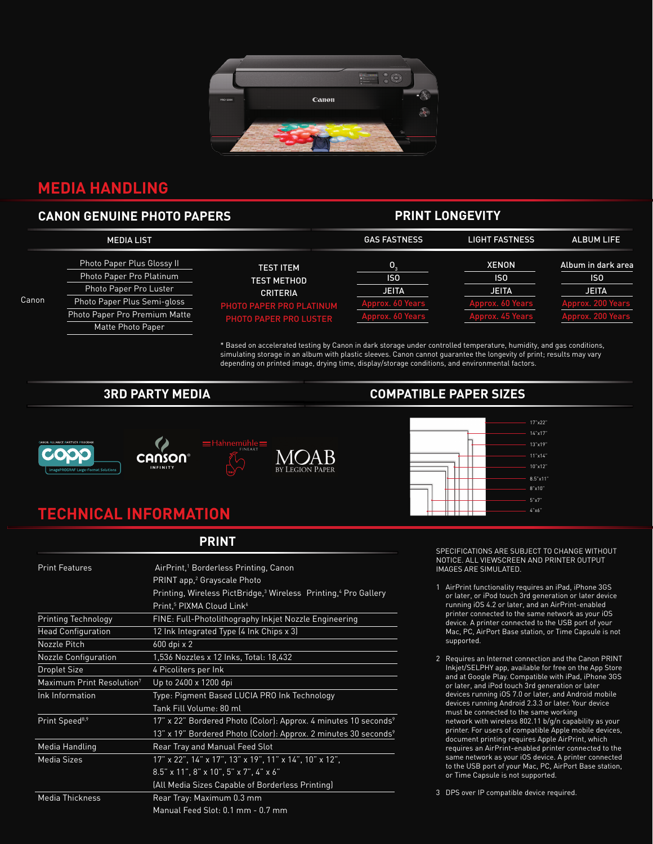

## **MEDIA HANDLING**

### **CANON GENUINE PHOTO PAPERS**

### **PRINT LONGEVITY**

|       | <b>MEDIA LIST</b>                                      |                                       | <b>GAS FASTNESS</b>   | <b>LIGHT FASTNESS</b> | <b>ALBUM LIFE</b>                     |
|-------|--------------------------------------------------------|---------------------------------------|-----------------------|-----------------------|---------------------------------------|
|       | Photo Paper Plus Glossy II<br>Photo Paper Pro Platinum | <b>TEST ITEM</b>                      | О.<br>IS <sub>0</sub> | XENON<br>ISO          | Album in dark area<br>IS <sub>0</sub> |
|       | Photo Paper Pro Luster                                 | <b>TEST METHOD</b><br><b>CRITERIA</b> | <b>JEITA</b>          | <b>JEITA</b>          | <b>JEITA</b>                          |
| Canon | Photo Paper Plus Semi-gloss                            | PHOTO PAPER PRO PLATINUM              | Approx. 60 Years      | Approx. 60 Years      | prox. 200 Years                       |
|       | Photo Paper Pro Premium Matte                          | <b>PHOTO PAPER PRO LUSTER</b>         | Approx. 60 Years      | Approx. 45 Years      | Approx. 200 Years                     |
|       | Matte Photo Paper                                      |                                       |                       |                       |                                       |

\* Based on accelerated testing by Canon in dark storage under controlled temperature, humidity, and gas conditions, simulating storage in an album with plastic sleeves. Canon cannot guarantee the longevity of print; results may vary depending on printed image, drying time, display/storage conditions, and environmental factors.





#### **3RD PARTY MEDIA COMPATIBLE PAPER SIZES**



# **TECHNICAL INFORMATION**

**PRINT**

| <b>Print Features</b>                 | AirPrint, <sup>1</sup> Borderless Printing, Canon                                       |  |  |
|---------------------------------------|-----------------------------------------------------------------------------------------|--|--|
|                                       | PRINT app, <sup>2</sup> Grayscale Photo                                                 |  |  |
|                                       | Printing, Wireless PictBridge, <sup>3</sup> Wireless Printing, <sup>4</sup> Pro Gallery |  |  |
|                                       | Print, <sup>5</sup> PIXMA Cloud Link <sup>6</sup>                                       |  |  |
| <b>Printing Technology</b>            | FINE: Full-Photolithography Inkjet Nozzle Engineering                                   |  |  |
| <b>Head Configuration</b>             | 12 Ink Integrated Type (4 Ink Chips x 3)                                                |  |  |
| Nozzle Pitch                          | 600 dpi x 2                                                                             |  |  |
| <b>Nozzle Configuration</b>           | 1,536 Nozzles x 12 Inks, Total: 18,432                                                  |  |  |
| <b>Droplet Size</b>                   | 4 Picoliters per Ink                                                                    |  |  |
| Maximum Print Resolution <sup>7</sup> | Up to 2400 x 1200 dpi                                                                   |  |  |
| Ink Information                       | Type: Pigment Based LUCIA PRO Ink Technology                                            |  |  |
|                                       | Tank Fill Volume: 80 ml                                                                 |  |  |
| Print Speed <sup>8,9</sup>            | 17" x 22" Bordered Photo (Color): Approx. 4 minutes 10 seconds <sup>9</sup>             |  |  |
|                                       | 13" x 19" Bordered Photo (Color): Approx. 2 minutes 30 seconds <sup>9</sup>             |  |  |
| Media Handling                        | Rear Tray and Manual Feed Slot                                                          |  |  |
| <b>Media Sizes</b>                    | 17" x 22", 14" x 17", 13" x 19", 11" x 14", 10" x 12",                                  |  |  |
|                                       | $8.5'' \times 11''$ , $8'' \times 10''$ , $5'' \times 7''$ , $4'' \times 6''$           |  |  |
|                                       | (All Media Sizes Capable of Borderless Printing)                                        |  |  |
| Media Thickness                       | Rear Tray: Maximum 0.3 mm                                                               |  |  |
|                                       | Manual Feed Slot: 0.1 mm - 0.7 mm                                                       |  |  |

SPECIFICATIONS ARE SUBJECT TO CHANGE WITHOUT NOTICE. ALL VIEWSCREEN AND PRINTER OUTPUT IMAGES ARE SIMULATED.

- 1 AirPrint functionality requires an iPad, iPhone 3GS or later, or iPod touch 3rd generation or later device running iOS 4.2 or later, and an AirPrint-enabled printer connected to the same network as your iOS device. A printer connected to the USB port of your Mac, PC, AirPort Base station, or Time Capsule is not supported.
- 2 Requires an Internet connection and the Canon PRINT Inkjet/SELPHY app, available for free on the App Store and at Google Play. Compatible with iPad, iPhone 3GS or later, and iPod touch 3rd generation or later devices running iOS 7.0 or later, and Android mobile devices running Android 2.3.3 or later. Your device must be connected to the same working network with wireless 802.11 b/g/n capability as your printer. For users of compatible Apple mobile devices, document printing requires Apple AirPrint, which requires an AirPrint-enabled printer connected to the same network as your iOS device. A printer connected to the USB port of your Mac, PC, AirPort Base station, or Time Capsule is not supported.

3 DPS over IP compatible device required.